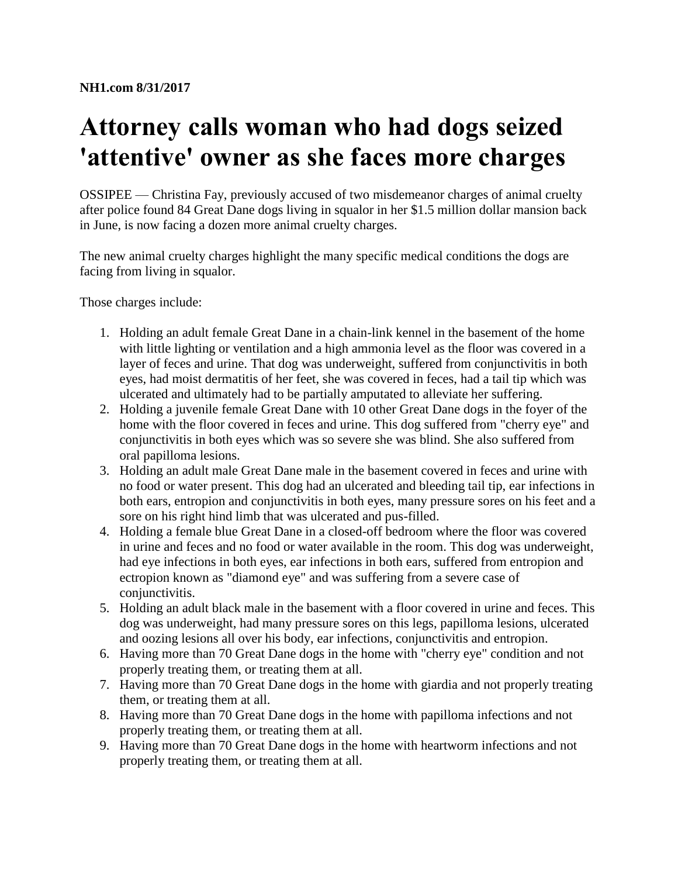## **Attorney calls woman who had dogs seized 'attentive' owner as she faces more charges**

OSSIPEE — Christina Fay, previously accused of two misdemeanor charges of animal cruelty after police found 84 Great Dane dogs living in squalor in her \$1.5 million dollar mansion back in June, is now facing a dozen more animal cruelty charges.

The new animal cruelty charges highlight the many specific medical conditions the dogs are facing from living in squalor.

Those charges include:

- 1. Holding an adult female Great Dane in a chain-link kennel in the basement of the home with little lighting or ventilation and a high ammonia level as the floor was covered in a layer of feces and urine. That dog was underweight, suffered from conjunctivitis in both eyes, had moist dermatitis of her feet, she was covered in feces, had a tail tip which was ulcerated and ultimately had to be partially amputated to alleviate her suffering.
- 2. Holding a juvenile female Great Dane with 10 other Great Dane dogs in the foyer of the home with the floor covered in feces and urine. This dog suffered from "cherry eye" and conjunctivitis in both eyes which was so severe she was blind. She also suffered from oral papilloma lesions.
- 3. Holding an adult male Great Dane male in the basement covered in feces and urine with no food or water present. This dog had an ulcerated and bleeding tail tip, ear infections in both ears, entropion and conjunctivitis in both eyes, many pressure sores on his feet and a sore on his right hind limb that was ulcerated and pus-filled.
- 4. Holding a female blue Great Dane in a closed-off bedroom where the floor was covered in urine and feces and no food or water available in the room. This dog was underweight, had eye infections in both eyes, ear infections in both ears, suffered from entropion and ectropion known as "diamond eye" and was suffering from a severe case of conjunctivitis.
- 5. Holding an adult black male in the basement with a floor covered in urine and feces. This dog was underweight, had many pressure sores on this legs, papilloma lesions, ulcerated and oozing lesions all over his body, ear infections, conjunctivitis and entropion.
- 6. Having more than 70 Great Dane dogs in the home with "cherry eye" condition and not properly treating them, or treating them at all.
- 7. Having more than 70 Great Dane dogs in the home with giardia and not properly treating them, or treating them at all.
- 8. Having more than 70 Great Dane dogs in the home with papilloma infections and not properly treating them, or treating them at all.
- 9. Having more than 70 Great Dane dogs in the home with heartworm infections and not properly treating them, or treating them at all.